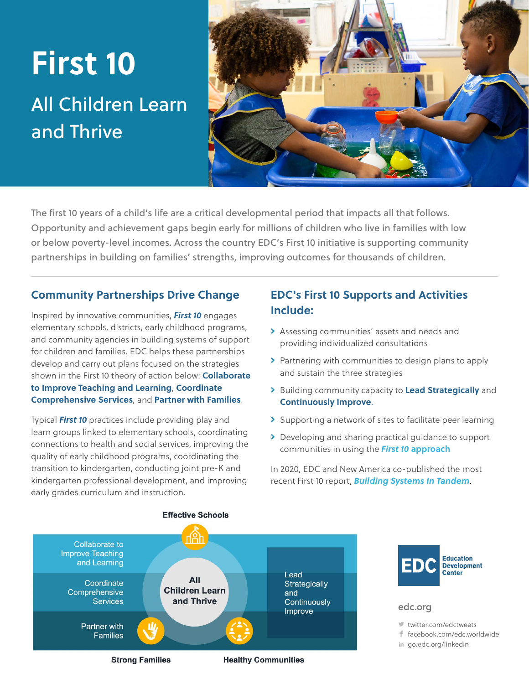# **First 10**

## All Children Learn and Thrive



The first 10 years of a child's life are a critical developmental period that impacts all that follows. Opportunity and achievement gaps begin early for millions of children who live in families with low or below poverty-level incomes. Across the country EDC's First 10 initiative is supporting community partnerships in building on families' strengths, improving outcomes for thousands of children.

#### **Community Partnerships Drive Change**

Inspired by innovative communities, *First 10* engages elementary schools, districts, early childhood programs, and community agencies in building systems of support for children and families. EDC helps these partnerships develop and carry out plans focused on the strategies shown in the First 10 theory of action below: **Collaborate to Improve Teaching and Learning**, **Coordinate Comprehensive Services**, and **Partner with Families**.

Typical *First 10* practices include providing play and learn groups linked to elementary schools, coordinating connections to health and social services, improving the quality of early childhood programs, coordinating the transition to kindergarten, conducting joint pre-K and kindergarten professional development, and improving early grades curriculum and instruction.

### **EDC's First 10 Supports and Activities Include:**

- Assessing communities' assets and needs and providing individualized consultations
- > Partnering with communities to design plans to apply and sustain the three strategies
- Building community capacity to **Lead Strategically** and **Continuously Improve**.
- > Supporting a network of sites to facilitate peer learning
- Developing and sharing practical guidance to support communities in using the *First 10* **[approach](https://first10.org/why-first-10/)**

In 2020, EDC and New America co-published the most recent First 10 report, *[Building Systems In Tandem](https://www.newamerica.org/education-policy/reports/building-systems-tandem/)*.





#### [edc.org](http://www.edc.org)

[twitter.com/edctweets](http://twitter.com/edctweets)

- [facebook.com/edc.worldwide](http://facebook.com/edc.worldwide)
- in [go.edc.org/linkedin](http://go.edc.org/linkedin)